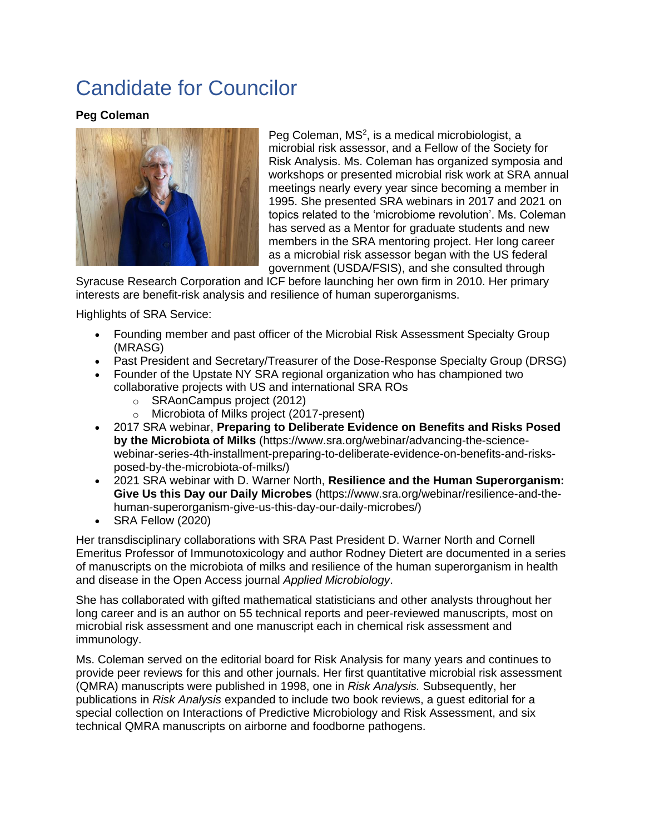# Candidate for Councilor

### **Peg Coleman**



Peg Coleman,  $MS<sup>2</sup>$ , is a medical microbiologist, a microbial risk assessor, and a Fellow of the Society for Risk Analysis. Ms. Coleman has organized symposia and workshops or presented microbial risk work at SRA annual meetings nearly every year since becoming a member in 1995. She presented SRA webinars in 2017 and 2021 on topics related to the 'microbiome revolution'. Ms. Coleman has served as a Mentor for graduate students and new members in the SRA mentoring project. Her long career as a microbial risk assessor began with the US federal government (USDA/FSIS), and she consulted through

Syracuse Research Corporation and ICF before launching her own firm in 2010. Her primary interests are benefit-risk analysis and resilience of human superorganisms.

Highlights of SRA Service:

- Founding member and past officer of the Microbial Risk Assessment Specialty Group (MRASG)
- Past President and Secretary/Treasurer of the Dose-Response Specialty Group (DRSG)
- Founder of the Upstate NY SRA regional organization who has championed two collaborative projects with US and international SRA ROs
	- o SRAonCampus project (2012)
	- o Microbiota of Milks project (2017-present)
- 2017 SRA webinar, **Preparing to Deliberate Evidence on Benefits and Risks Posed by the Microbiota of Milks** (https://www.sra.org/webinar/advancing-the-sciencewebinar-series-4th-installment-preparing-to-deliberate-evidence-on-benefits-and-risksposed-by-the-microbiota-of-milks/)
- 2021 SRA webinar with D. Warner North, **Resilience and the Human Superorganism: Give Us this Day our Daily Microbes** (https://www.sra.org/webinar/resilience-and-thehuman-superorganism-give-us-this-day-our-daily-microbes/)
- SRA Fellow (2020)

Her transdisciplinary collaborations with SRA Past President D. Warner North and Cornell Emeritus Professor of Immunotoxicology and author Rodney Dietert are documented in a series of manuscripts on the microbiota of milks and resilience of the human superorganism in health and disease in the Open Access journal *Applied Microbiology*.

She has collaborated with gifted mathematical statisticians and other analysts throughout her long career and is an author on 55 technical reports and peer-reviewed manuscripts, most on microbial risk assessment and one manuscript each in chemical risk assessment and immunology.

Ms. Coleman served on the editorial board for Risk Analysis for many years and continues to provide peer reviews for this and other journals. Her first quantitative microbial risk assessment (QMRA) manuscripts were published in 1998, one in *Risk Analysis.* Subsequently, her publications in *Risk Analysis* expanded to include two book reviews, a guest editorial for a special collection on Interactions of Predictive Microbiology and Risk Assessment, and six technical QMRA manuscripts on airborne and foodborne pathogens.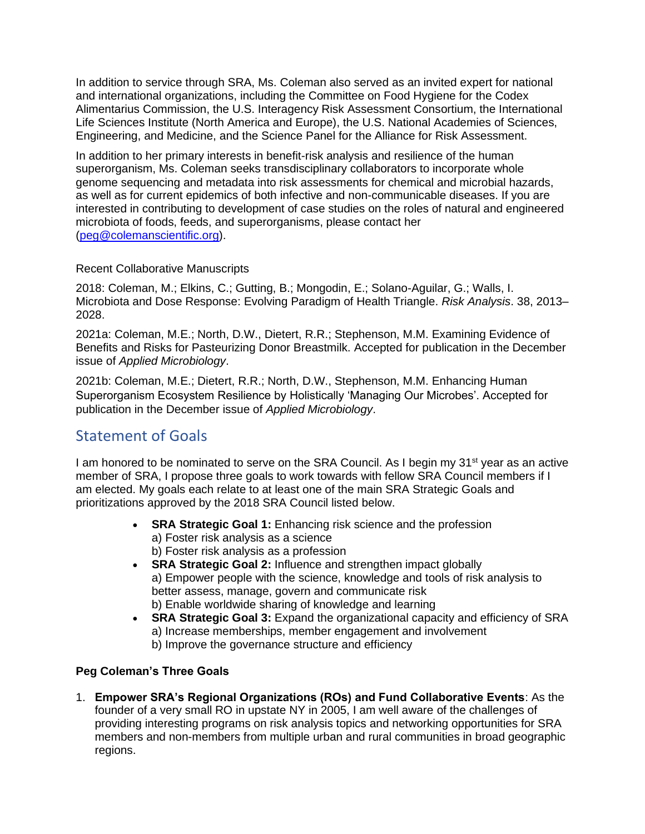In addition to service through SRA, Ms. Coleman also served as an invited expert for national and international organizations, including the Committee on Food Hygiene for the Codex Alimentarius Commission, the U.S. Interagency Risk Assessment Consortium, the International Life Sciences Institute (North America and Europe), the U.S. National Academies of Sciences, Engineering, and Medicine, and the Science Panel for the Alliance for Risk Assessment.

In addition to her primary interests in benefit-risk analysis and resilience of the human superorganism, Ms. Coleman seeks transdisciplinary collaborators to incorporate whole genome sequencing and metadata into risk assessments for chemical and microbial hazards, as well as for current epidemics of both infective and non-communicable diseases. If you are interested in contributing to development of case studies on the roles of natural and engineered microbiota of foods, feeds, and superorganisms, please contact her [\(peg@colemanscientific.org\)](mailto:peg@colemanscientific.org).

#### Recent Collaborative Manuscripts

2018: Coleman, M.; Elkins, C.; Gutting, B.; Mongodin, E.; Solano-Aguilar, G.; Walls, I. Microbiota and Dose Response: Evolving Paradigm of Health Triangle. *Risk Analysis*. 38, 2013– 2028.

2021a: Coleman, M.E.; North, D.W., Dietert, R.R.; Stephenson, M.M. Examining Evidence of Benefits and Risks for Pasteurizing Donor Breastmilk. Accepted for publication in the December issue of *Applied Microbiology*.

2021b: Coleman, M.E.; Dietert, R.R.; North, D.W., Stephenson, M.M. Enhancing Human Superorganism Ecosystem Resilience by Holistically 'Managing Our Microbes'. Accepted for publication in the December issue of *Applied Microbiology*.

# Statement of Goals

I am honored to be nominated to serve on the SRA Council. As I begin my 31<sup>st</sup> year as an active member of SRA, I propose three goals to work towards with fellow SRA Council members if I am elected. My goals each relate to at least one of the main SRA Strategic Goals and prioritizations approved by the 2018 SRA Council listed below.

- **SRA Strategic Goal 1:** Enhancing risk science and the profession a) Foster risk analysis as a science b) Foster risk analysis as a profession
- **SRA Strategic Goal 2:** Influence and strengthen impact globally a) Empower people with the science, knowledge and tools of risk analysis to better assess, manage, govern and communicate risk b) Enable worldwide sharing of knowledge and learning
- **SRA Strategic Goal 3:** Expand the organizational capacity and efficiency of SRA a) Increase memberships, member engagement and involvement b) Improve the governance structure and efficiency

## **Peg Coleman's Three Goals**

1. **Empower SRA's Regional Organizations (ROs) and Fund Collaborative Events**: As the founder of a very small RO in upstate NY in 2005, I am well aware of the challenges of providing interesting programs on risk analysis topics and networking opportunities for SRA members and non-members from multiple urban and rural communities in broad geographic regions.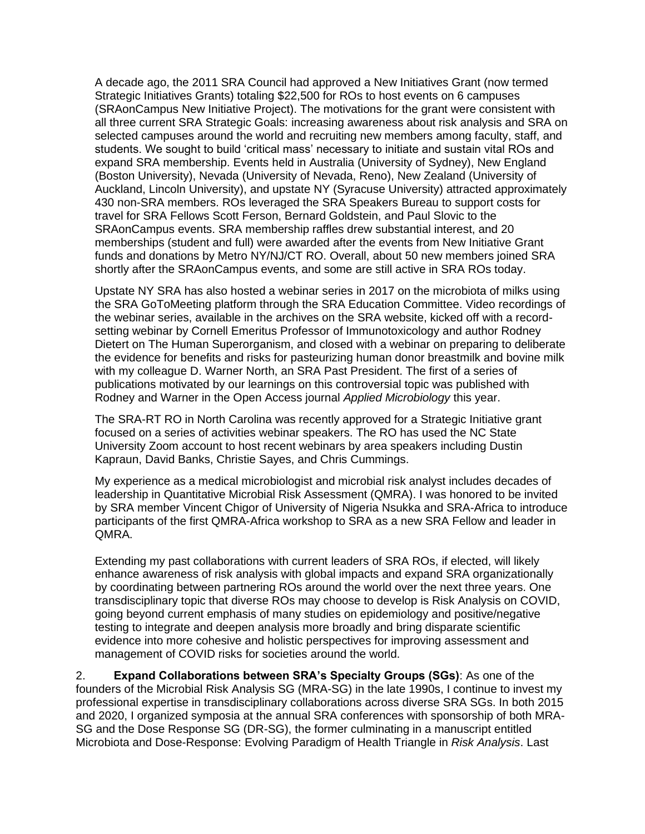A decade ago, the 2011 SRA Council had approved a New Initiatives Grant (now termed Strategic Initiatives Grants) totaling \$22,500 for ROs to host events on 6 campuses (SRAonCampus New Initiative Project). The motivations for the grant were consistent with all three current SRA Strategic Goals: increasing awareness about risk analysis and SRA on selected campuses around the world and recruiting new members among faculty, staff, and students. We sought to build 'critical mass' necessary to initiate and sustain vital ROs and expand SRA membership. Events held in Australia (University of Sydney), New England (Boston University), Nevada (University of Nevada, Reno), New Zealand (University of Auckland, Lincoln University), and upstate NY (Syracuse University) attracted approximately 430 non-SRA members. ROs leveraged the SRA Speakers Bureau to support costs for travel for SRA Fellows Scott Ferson, Bernard Goldstein, and Paul Slovic to the SRAonCampus events. SRA membership raffles drew substantial interest, and 20 memberships (student and full) were awarded after the events from New Initiative Grant funds and donations by Metro NY/NJ/CT RO. Overall, about 50 new members joined SRA shortly after the SRAonCampus events, and some are still active in SRA ROs today.

Upstate NY SRA has also hosted a webinar series in 2017 on the microbiota of milks using the SRA GoToMeeting platform through the SRA Education Committee. Video recordings of the webinar series, available in the archives on the SRA website, kicked off with a recordsetting webinar by Cornell Emeritus Professor of Immunotoxicology and author Rodney Dietert on The Human Superorganism, and closed with a webinar on preparing to deliberate the evidence for benefits and risks for pasteurizing human donor breastmilk and bovine milk with my colleague D. Warner North, an SRA Past President. The first of a series of publications motivated by our learnings on this controversial topic was published with Rodney and Warner in the Open Access journal *Applied Microbiology* this year.

The SRA-RT RO in North Carolina was recently approved for a Strategic Initiative grant focused on a series of activities webinar speakers. The RO has used the NC State University Zoom account to host recent webinars by area speakers including Dustin Kapraun, David Banks, Christie Sayes, and Chris Cummings.

My experience as a medical microbiologist and microbial risk analyst includes decades of leadership in Quantitative Microbial Risk Assessment (QMRA). I was honored to be invited by SRA member Vincent Chigor of University of Nigeria Nsukka and SRA-Africa to introduce participants of the first QMRA-Africa workshop to SRA as a new SRA Fellow and leader in QMRA.

Extending my past collaborations with current leaders of SRA ROs, if elected, will likely enhance awareness of risk analysis with global impacts and expand SRA organizationally by coordinating between partnering ROs around the world over the next three years. One transdisciplinary topic that diverse ROs may choose to develop is Risk Analysis on COVID, going beyond current emphasis of many studies on epidemiology and positive/negative testing to integrate and deepen analysis more broadly and bring disparate scientific evidence into more cohesive and holistic perspectives for improving assessment and management of COVID risks for societies around the world.

2. **Expand Collaborations between SRA's Specialty Groups (SGs)**: As one of the founders of the Microbial Risk Analysis SG (MRA-SG) in the late 1990s, I continue to invest my professional expertise in transdisciplinary collaborations across diverse SRA SGs. In both 2015 and 2020, I organized symposia at the annual SRA conferences with sponsorship of both MRA-SG and the Dose Response SG (DR-SG), the former culminating in a manuscript entitled Microbiota and Dose-Response: Evolving Paradigm of Health Triangle in *Risk Analysis*. Last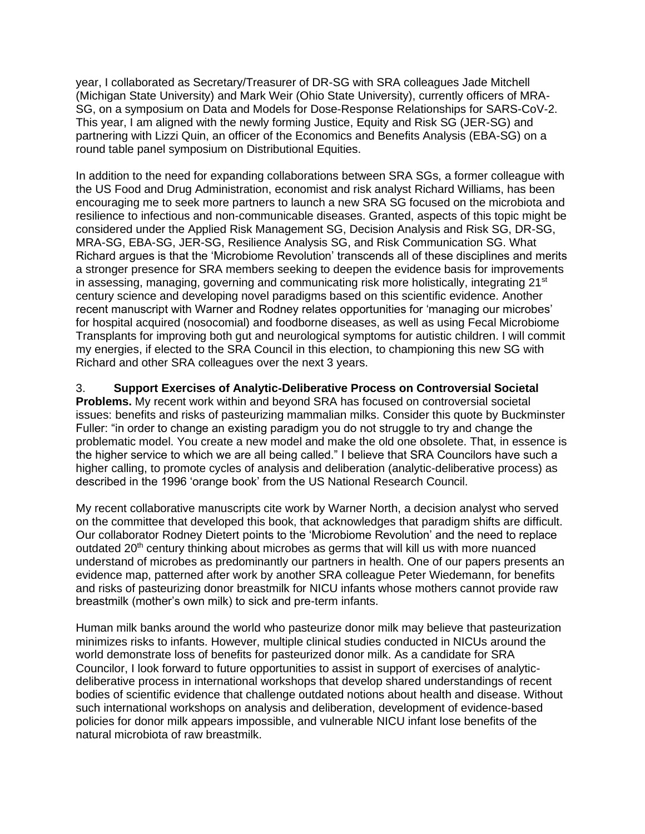year, I collaborated as Secretary/Treasurer of DR-SG with SRA colleagues Jade Mitchell (Michigan State University) and Mark Weir (Ohio State University), currently officers of MRA-SG, on a symposium on Data and Models for Dose-Response Relationships for SARS-CoV-2. This year, I am aligned with the newly forming Justice, Equity and Risk SG (JER-SG) and partnering with Lizzi Quin, an officer of the Economics and Benefits Analysis (EBA-SG) on a round table panel symposium on Distributional Equities.

In addition to the need for expanding collaborations between SRA SGs, a former colleague with the US Food and Drug Administration, economist and risk analyst Richard Williams, has been encouraging me to seek more partners to launch a new SRA SG focused on the microbiota and resilience to infectious and non-communicable diseases. Granted, aspects of this topic might be considered under the Applied Risk Management SG, Decision Analysis and Risk SG, DR-SG, MRA-SG, EBA-SG, JER-SG, Resilience Analysis SG, and Risk Communication SG. What Richard argues is that the 'Microbiome Revolution' transcends all of these disciplines and merits a stronger presence for SRA members seeking to deepen the evidence basis for improvements in assessing, managing, governing and communicating risk more holistically, integrating  $21<sup>st</sup>$ century science and developing novel paradigms based on this scientific evidence. Another recent manuscript with Warner and Rodney relates opportunities for 'managing our microbes' for hospital acquired (nosocomial) and foodborne diseases, as well as using Fecal Microbiome Transplants for improving both gut and neurological symptoms for autistic children. I will commit my energies, if elected to the SRA Council in this election, to championing this new SG with Richard and other SRA colleagues over the next 3 years.

3. **Support Exercises of Analytic-Deliberative Process on Controversial Societal Problems.** My recent work within and beyond SRA has focused on controversial societal issues: benefits and risks of pasteurizing mammalian milks. Consider this quote by Buckminster Fuller: "in order to change an existing paradigm you do not struggle to try and change the problematic model. You create a new model and make the old one obsolete. That, in essence is the higher service to which we are all being called." I believe that SRA Councilors have such a higher calling, to promote cycles of analysis and deliberation (analytic-deliberative process) as described in the 1996 'orange book' from the US National Research Council.

My recent collaborative manuscripts cite work by Warner North, a decision analyst who served on the committee that developed this book, that acknowledges that paradigm shifts are difficult. Our collaborator Rodney Dietert points to the 'Microbiome Revolution' and the need to replace outdated 20<sup>th</sup> century thinking about microbes as germs that will kill us with more nuanced understand of microbes as predominantly our partners in health. One of our papers presents an evidence map, patterned after work by another SRA colleague Peter Wiedemann, for benefits and risks of pasteurizing donor breastmilk for NICU infants whose mothers cannot provide raw breastmilk (mother's own milk) to sick and pre-term infants.

Human milk banks around the world who pasteurize donor milk may believe that pasteurization minimizes risks to infants. However, multiple clinical studies conducted in NICUs around the world demonstrate loss of benefits for pasteurized donor milk. As a candidate for SRA Councilor, I look forward to future opportunities to assist in support of exercises of analyticdeliberative process in international workshops that develop shared understandings of recent bodies of scientific evidence that challenge outdated notions about health and disease. Without such international workshops on analysis and deliberation, development of evidence-based policies for donor milk appears impossible, and vulnerable NICU infant lose benefits of the natural microbiota of raw breastmilk.